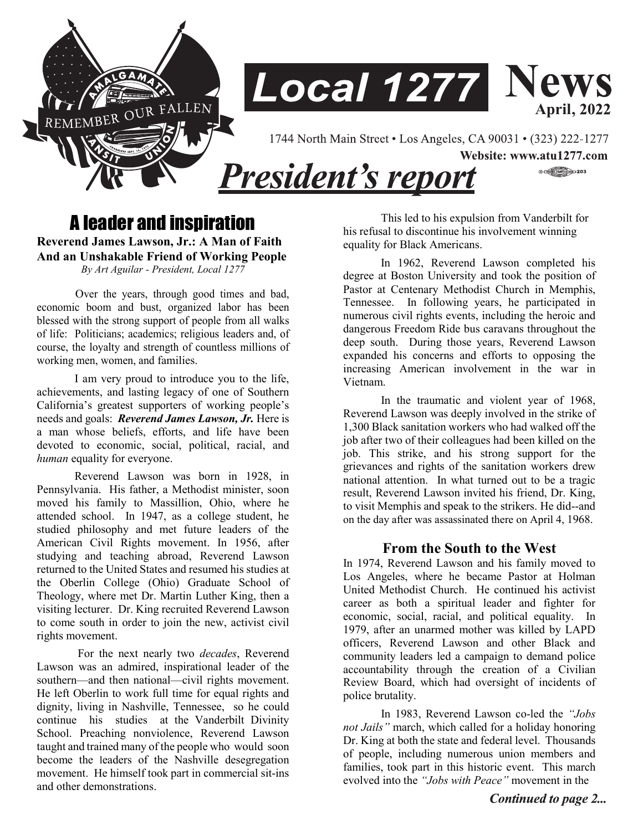



1744 North Main Street • Los Angeles, CA 90031 • (323) 222-1277

**President's report** 

Website: www.atu1277.com  $\circ$  (respectively)  $203$ 

# A leader and inspiration **Reverend James Lawson, Jr.: A Man of Faith**

**And an Unshakable Friend of Working People**  *By Art Aguilar - President, Local 1277* 

 Over the years, through good times and bad, economic boom and bust, organized labor has been blessed with the strong support of people from all walks of life: Politicians; academics; religious leaders and, of course, the loyalty and strength of countless millions of working men, women, and families.

I am very proud to introduce you to the life, achievements, and lasting legacy of one of Southern California's greatest supporters of working people's needs and goals: *Reverend James Lawson, Jr.* Here is a man whose beliefs, efforts, and life have been devoted to economic, social, political, racial, and *human* equality for everyone.

Reverend Lawson was born in 1928, in Pennsylvania. His father, a Methodist minister, soon moved his family to Massillion, Ohio, where he attended school. In 1947, as a college student, he studied philosophy and met future leaders of the American Civil Rights movement. In 1956, after studying and teaching abroad, Reverend Lawson returned to the United States and resumed his studies at the Oberlin College (Ohio) Graduate School of Theology, where met Dr. Martin Luther King, then a visiting lecturer. Dr. King recruited Reverend Lawson to come south in order to join the new, activist civil rights movement.

For the next nearly two *decades*, Reverend Lawson was an admired, inspirational leader of the southern—and then national—civil rights movement. He left Oberlin to work full time for equal rights and dignity, living in Nashville, Tennessee, so he could continue his studies at the Vanderbilt Divinity School. Preaching nonviolence, Reverend Lawson taught and trained many of the people who would soon become the leaders of the Nashville desegregation movement. He himself took part in commercial sit-ins and other demonstrations.

This led to his expulsion from Vanderbilt for his refusal to discontinue his involvement winning equality for Black Americans.

In 1962, Reverend Lawson completed his degree at Boston University and took the position of Pastor at Centenary Methodist Church in Memphis, Tennessee. In following years, he participated in numerous civil rights events, including the heroic and dangerous Freedom Ride bus caravans throughout the deep south. During those years, Reverend Lawson expanded his concerns and efforts to opposing the increasing American involvement in the war in Vietnam.

In the traumatic and violent year of 1968, Reverend Lawson was deeply involved in the strike of 1,300 Black sanitation workers who had walked off the job after two of their colleagues had been killed on the job. This strike, and his strong support for the grievances and rights of the sanitation workers drew national attention. In what turned out to be a tragic result, Reverend Lawson invited his friend, Dr. King, to visit Memphis and speak to the strikers. He did--and on the day after was assassinated there on April 4, 1968.

## **From the South to the West**

In 1974, Reverend Lawson and his family moved to Los Angeles, where he became Pastor at Holman United Methodist Church. He continued his activist career as both a spiritual leader and fighter for economic, social, racial, and political equality. In 1979, after an unarmed mother was killed by LAPD officers, Reverend Lawson and other Black and community leaders led a campaign to demand police accountability through the creation of a Civilian Review Board, which had oversight of incidents of police brutality.

In 1983, Reverend Lawson co-led the *"Jobs not Jails"* march, which called for a holiday honoring Dr. King at both the state and federal level. Thousands of people, including numerous union members and families, took part in this historic event. This march evolved into the *"Jobs with Peace"* movement in the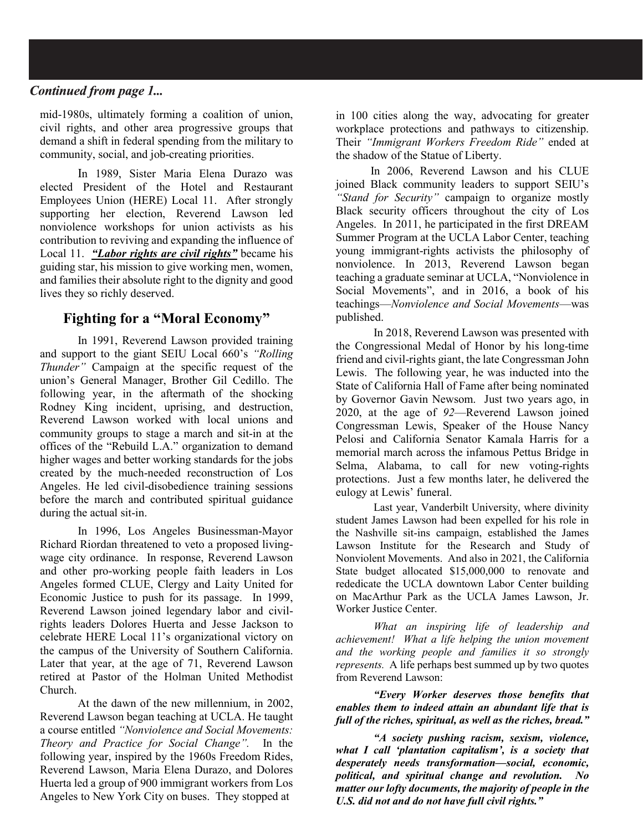### Continued from page 1...

mid-1980s, ultimately forming a coalition of union, civil rights, and other area progressive groups that demand a shift in federal spending from the military to community, social, and job-creating priorities.

In 1989, Sister Maria Elena Durazo was elected President of the Hotel and Restaurant Employees Union (HERE) Local 11. After strongly supporting her election, Reverend Lawson led nonviolence workshops for union activists as his contribution to reviving and expanding the influence of Local 11. *"Labor rights are civil rights"* became his guiding star, his mission to give working men, women, and families their absolute right to the dignity and good lives they so richly deserved.

## **Fighting for a "Moral Economy"**

In 1991, Reverend Lawson provided training and support to the giant SEIU Local 660's *"Rolling Thunder"* Campaign at the specific request of the union's General Manager, Brother Gil Cedillo. The following year, in the aftermath of the shocking Rodney King incident, uprising, and destruction, Reverend Lawson worked with local unions and community groups to stage a march and sit-in at the offices of the "Rebuild L.A." organization to demand higher wages and better working standards for the jobs created by the much-needed reconstruction of Los Angeles. He led civil-disobedience training sessions before the march and contributed spiritual guidance during the actual sit-in.

In 1996, Los Angeles Businessman-Mayor Richard Riordan threatened to veto a proposed livingwage city ordinance. In response, Reverend Lawson and other pro-working people faith leaders in Los Angeles formed CLUE, Clergy and Laity United for Economic Justice to push for its passage. In 1999, Reverend Lawson joined legendary labor and civilrights leaders Dolores Huerta and Jesse Jackson to celebrate HERE Local 11's organizational victory on the campus of the University of Southern California. Later that year, at the age of 71, Reverend Lawson retired at Pastor of the Holman United Methodist Church.

At the dawn of the new millennium, in 2002, Reverend Lawson began teaching at UCLA. He taught a course entitled *"Nonviolence and Social Movements: Theory and Practice for Social Change".* In the following year, inspired by the 1960s Freedom Rides, Reverend Lawson, Maria Elena Durazo, and Dolores Huerta led a group of 900 immigrant workers from Los Angeles to New York City on buses. They stopped at

in 100 cities along the way, advocating for greater workplace protections and pathways to citizenship. Their *"Immigrant Workers Freedom Ride"* ended at the shadow of the Statue of Liberty.

In 2006, Reverend Lawson and his CLUE joined Black community leaders to support SEIU's *"Stand for Security"* campaign to organize mostly Black security officers throughout the city of Los Angeles. In 2011, he participated in the first DREAM Summer Program at the UCLA Labor Center, teaching young immigrant-rights activists the philosophy of nonviolence. In 2013, Reverend Lawson began teaching a graduate seminar at UCLA, "Nonviolence in Social Movements", and in 2016, a book of his teachings—*Nonviolence and Social Movements*—was published.

In 2018, Reverend Lawson was presented with the Congressional Medal of Honor by his long-time friend and civil-rights giant, the late Congressman John Lewis. The following year, he was inducted into the State of California Hall of Fame after being nominated by Governor Gavin Newsom. Just two years ago, in 2020, at the age of *92*—Reverend Lawson joined Congressman Lewis, Speaker of the House Nancy Pelosi and California Senator Kamala Harris for a memorial march across the infamous Pettus Bridge in Selma, Alabama, to call for new voting-rights protections. Just a few months later, he delivered the eulogy at Lewis' funeral.

Last year, Vanderbilt University, where divinity student James Lawson had been expelled for his role in the Nashville sit-ins campaign, established the James Lawson Institute for the Research and Study of Nonviolent Movements. And also in 2021, the California State budget allocated \$15,000,000 to renovate and rededicate the UCLA downtown Labor Center building on MacArthur Park as the UCLA James Lawson, Jr. Worker Justice Center.

*What an inspiring life of leadership and achievement! What a life helping the union movement and the working people and families it so strongly represents.* A life perhaps best summed up by two quotes from Reverend Lawson:

*"Every Worker deserves those benefits that enables them to indeed attain an abundant life that is full of the riches, spiritual, as well as the riches, bread."*

*"A society pushing racism, sexism, violence, what I call 'plantation capitalism', is a society that desperately needs transformation—social, economic, political, and spiritual change and revolution. No matter our lofty documents, the majority of people in the U.S. did not and do not have full civil rights."*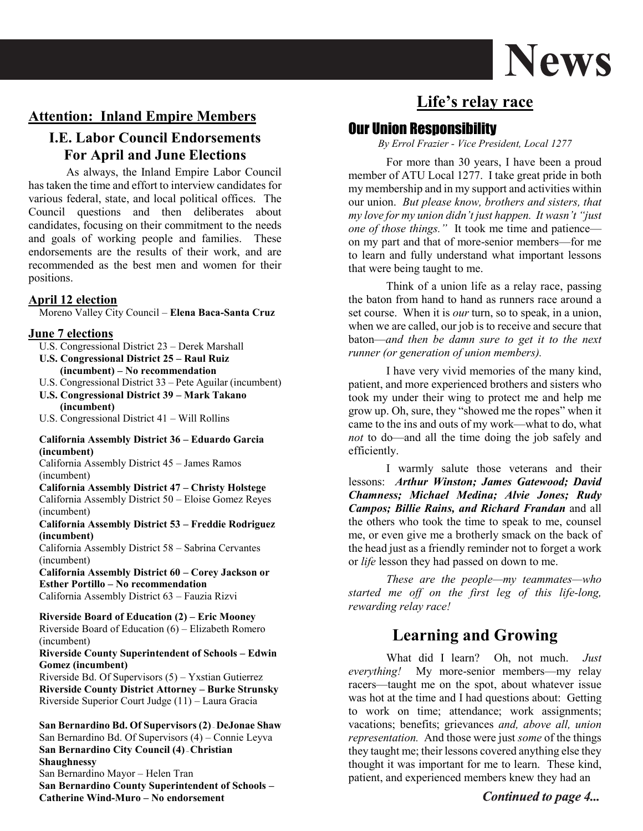

## **Attention: Inland Empire Members**

## **I.E. Labor Council Endorsements For April and June Elections**

As always, the Inland Empire Labor Council has taken the time and effort to interview candidates for various federal, state, and local political offices. The Council questions and then deliberates about candidates, focusing on their commitment to the needs and goals of working people and families. These endorsements are the results of their work, and are recommended as the best men and women for their positions.

#### **April 12 election**

Moreno Valley City Council – **Elena Baca-Santa Cruz** 

#### **June 7 elections**

- U.S. Congressional District 23 Derek Marshall
- **U.S. Congressional District 25 – Raul Ruiz (incumbent) – No recommendation**
- U.S. Congressional District 33 Pete Aguilar (incumbent)
- **U.S. Congressional District 39 – Mark Takano (incumbent)**
- U.S. Congressional District 41 Will Rollins

#### **California Assembly District 36 – Eduardo Garcia (incumbent)**

California Assembly District 45 – James Ramos (incumbent)

**California Assembly District 47 – Christy Holstege**  California Assembly District 50 – Eloise Gomez Reyes (incumbent)

**California Assembly District 53 – Freddie Rodriguez (incumbent)** 

California Assembly District 58 – Sabrina Cervantes (incumbent)

**California Assembly District 60 – Corey Jackson or Esther Portillo – No recommendation**  California Assembly District 63 – Fauzia Rizvi

**Riverside Board of Education (2) – Eric Mooney**  Riverside Board of Education (6) – Elizabeth Romero (incumbent)

#### **Riverside County Superintendent of Schools – Edwin Gomez (incumbent)**

Riverside Bd. Of Supervisors (5) – Yxstian Gutierrez **Riverside County District Attorney – Burke Strunsky**  Riverside Superior Court Judge (11) – Laura Gracia

**San Bernardino Bd. Of Supervisors (2) – DeJonae Shaw**  San Bernardino Bd. Of Supervisors (4) – Connie Leyva **San Bernardino City Council (4) –Christian Shaughnessy**  San Bernardino Mayor – Helen Tran **San Bernardino County Superintendent of Schools – Catherine Wind-Muro – No endorsement** 

# **Life's relay race**

## Our Union Responsibility

*By Errol Frazier - Vice President, Local 1277*

For more than 30 years, I have been a proud member of ATU Local 1277. I take great pride in both my membership and in my support and activities within our union. *But please know, brothers and sisters, that my love for my union didn't just happen. It wasn't "just one of those things."* It took me time and patience on my part and that of more-senior members—for me to learn and fully understand what important lessons that were being taught to me.

Think of a union life as a relay race, passing the baton from hand to hand as runners race around a set course. When it is *our* turn, so to speak, in a union, when we are called, our job is to receive and secure that baton—*and then be damn sure to get it to the next runner (or generation of union members).*

I have very vivid memories of the many kind, patient, and more experienced brothers and sisters who took my under their wing to protect me and help me grow up. Oh, sure, they "showed me the ropes" when it came to the ins and outs of my work—what to do, what *not* to do—and all the time doing the job safely and efficiently.

I warmly salute those veterans and their lessons: *Arthur Winston; James Gatewood; David Chamness; Michael Medina; Alvie Jones; Rudy Campos; Billie Rains, and Richard Frandan* and all the others who took the time to speak to me, counsel me, or even give me a brotherly smack on the back of the head just as a friendly reminder not to forget a work or *life* lesson they had passed on down to me.

*These are the people—my teammates—who started me off on the first leg of this life-long, rewarding relay race!*

## **Learning and Growing**

What did I learn? Oh, not much. *Just everything!* My more-senior members—my relay racers—taught me on the spot, about whatever issue was hot at the time and I had questions about: Getting to work on time; attendance; work assignments; vacations; benefits; grievances *and, above all, union representation.* And those were just *some* of the things they taught me; their lessons covered anything else they thought it was important for me to learn. These kind, patient, and experienced members knew they had an

## Continued to page 4...